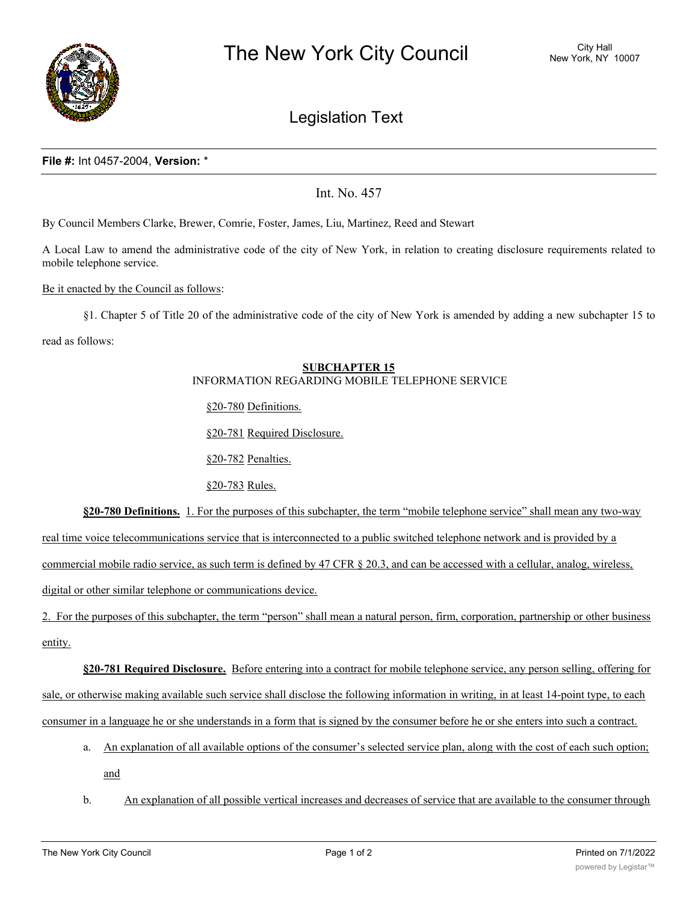

# Legislation Text

### **File #:** Int 0457-2004, **Version:** \*

Int. No. 457

By Council Members Clarke, Brewer, Comrie, Foster, James, Liu, Martinez, Reed and Stewart

A Local Law to amend the administrative code of the city of New York, in relation to creating disclosure requirements related to mobile telephone service.

#### Be it enacted by the Council as follows:

§1. Chapter 5 of Title 20 of the administrative code of the city of New York is amended by adding a new subchapter 15 to

read as follows:

#### **SUBCHAPTER 15** INFORMATION REGARDING MOBILE TELEPHONE SERVICE

§20-780 Definitions.

§20-781 Required Disclosure.

§20-782 Penalties.

§20-783 Rules.

**§20-780 Definitions.** 1. For the purposes of this subchapter, the term "mobile telephone service" shall mean any two-way

real time voice telecommunications service that is interconnected to a public switched telephone network and is provided by a

commercial mobile radio service, as such term is defined by 47 CFR § 20.3, and can be accessed with a cellular, analog, wireless,

digital or other similar telephone or communications device.

2. For the purposes of this subchapter, the term "person" shall mean a natural person, firm, corporation, partnership or other business entity.

**§20-781 Required Disclosure.** Before entering into a contract for mobile telephone service, any person selling, offering for sale, or otherwise making available such service shall disclose the following information in writing, in at least 14-point type, to each consumer in a language he or she understands in a form that is signed by the consumer before he or she enters into such a contract.

- a. An explanation of all available options of the consumer's selected service plan, along with the cost of each such option; and
- b. An explanation of all possible vertical increases and decreases of service that are available to the consumer through